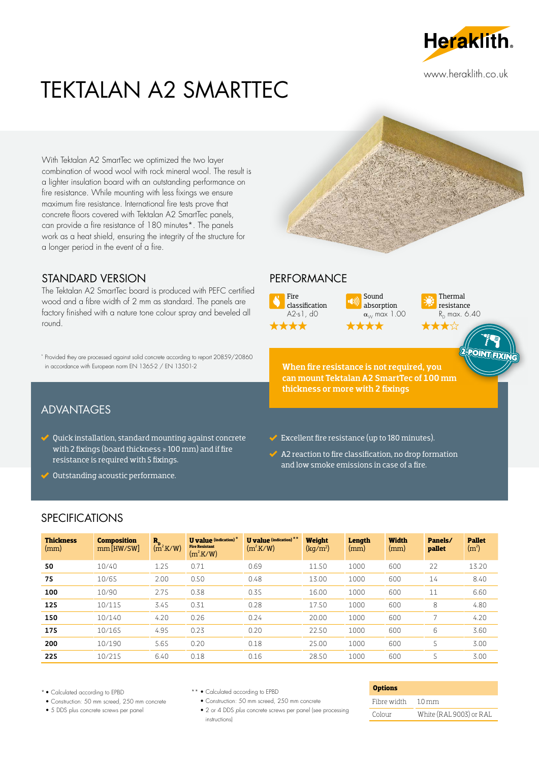

www.heraklith.co.uk

# TEKTALAN A2 SMARTTEC

With Tektalan A2 SmartTec we optimized the two layer combination of wood wool with rock mineral wool. The result is a lighter insulation board with an outstanding performance on fire resistance. While mounting with less fixings we ensure maximum fire resistance. International fire tests prove that concrete floors covered with Tektalan A2 SmartTec panels, can provide a fire resistance of 180 minutes\*. The panels work as a heat shield, ensuring the integrity of the structure for a longer period in the event of a fire.

## STANDARD VERSION

The Tektalan A2 SmartTec board is produced with PEFC certified wood and a fibre width of 2 mm as standard. The panels are factory finished with a nature tone colour spray and beveled all round.

\* Provided they are processed against solid concrete according to report 20859/20860 in accordance with European norm EN 1365-2 / EN 13501-2 When fire resistance is not required, you

# ADVANTAGES

- Quick installation, standard mounting against concrete with 2 fixings (board thickness ≥ 100 mm) and if fire resistance is required with 5 fixings.
- ◆ Outstanding acoustic performance.

#### PERFORMANCE



Sound absorption  $\alpha_{\scriptscriptstyle{\cal W}}$  max 1.00  $\bigstar$ 



TEIVI

can mount Tektalan A2 SmartTec of 100 mm thickness or more with 2 fixings

- $\blacktriangleright$  Excellent fire resistance (up to 180 minutes).
- $\blacktriangleright$  A2 reaction to fire classification, no drop formation and low smoke emissions in case of a fire.

## SPECIFICATIONS

| <b>Thickness</b><br>(mm) | <b>Composition</b><br>$mm$ [HW/SW] | $R_{p}$<br>(m <sup>2</sup> .K/W) | <b>U</b> value (indication) $*$<br><b>Fire Resistant</b><br>$(m^2.K/W)$ | <b>U</b> value (indication) **<br>$(m^2$ K/W) | Weight<br>(kq/m <sup>2</sup> ) | Length<br>(mm) | <b>Width</b><br>(mm) | Panels/<br>pallet | <b>Pallet</b><br>(m <sup>2</sup> ) |
|--------------------------|------------------------------------|----------------------------------|-------------------------------------------------------------------------|-----------------------------------------------|--------------------------------|----------------|----------------------|-------------------|------------------------------------|
| 50                       | 10/40                              | 1.25                             | 0.71                                                                    | 0.69                                          | 11.50                          | 1000           | 600                  | 22                | 13.20                              |
| 75                       | 10/65                              | 2.00                             | 0.50                                                                    | 0.48                                          | 13.00                          | 1000           | 600                  | 14                | 8.40                               |
| 100                      | 10/90                              | 2.75                             | 0.38                                                                    | 0.35                                          | 16.00                          | 1000           | 600                  | 11                | 6.60                               |
| 125                      | 10/115                             | 3.45                             | 0.31                                                                    | 0.28                                          | 17.50                          | 1000           | 600                  | 8                 | 4.80                               |
| 150                      | 10/140                             | 4.20                             | 0.26                                                                    | 0.24                                          | 20.00                          | 1000           | 600                  | r,                | 4.20                               |
| 175                      | 10/165                             | 4.95                             | 0.23                                                                    | 0.20                                          | 22.50                          | 1000           | 600                  | 6                 | 3.60                               |
| 200                      | 10/190                             | 5.65                             | 0.20                                                                    | 0.18                                          | 25.00                          | 1000           | 600                  | 5                 | 3.00                               |
| 225                      | 10/215                             | 6.40                             | 0.18                                                                    | 0.16                                          | 28.50                          | 1000           | 600                  | 5                 | 3.00                               |

\* • Calculated according to EPBD

- Construction: 50 mm screed, 250 mm concrete
- 5 DDS plus concrete screws per panel
- \*\* Calculated according to EPBD
	- Construction: 50 mm screed, 250 mm concrete
	- 2 or 4 DDS *plus* concrete screws per panel (see processing instructions)

#### **Options**

| Fibre width | $10 \,\mathrm{mm}$      |
|-------------|-------------------------|
| Colour      | White (RAL 9003) or RAL |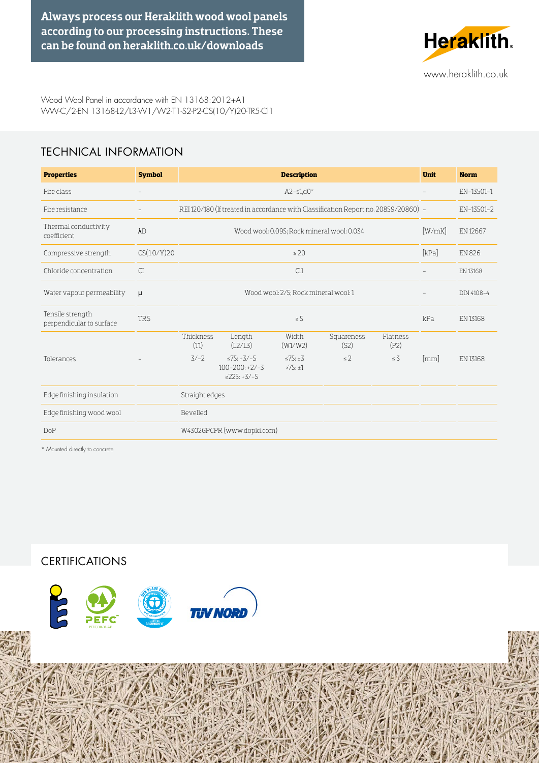Always process our Heraklith wood wool panels according to our processing instructions. These can be found on [heraklith.co.uk/downloads](https://heraklith.co.uk/downloads#instructions) 



Wood Wool Panel in accordance with EN 13168:2012+A1 WW-C/2-EN 13168-L2/L3-W1/W2-T1-S2-P2-CS(10/Y)20-TR5-Cl1

# TECHNICAL INFORMATION

| <b>Properties</b>                            | <b>Symbol</b>            |                                                                                     | <b>Unit</b>                                                 | <b>Norm</b>                  |                    |                  |      |                 |
|----------------------------------------------|--------------------------|-------------------------------------------------------------------------------------|-------------------------------------------------------------|------------------------------|--------------------|------------------|------|-----------------|
| Fire class                                   | $\overline{\phantom{a}}$ |                                                                                     | $\overline{\phantom{a}}$                                    | EN-13501-1                   |                    |                  |      |                 |
| Fire resistance                              |                          | REI 120/180 (If treated in accordance with Classification Report no. 20859/20860) - |                                                             | EN-13501-2                   |                    |                  |      |                 |
| Thermal conductivity<br>coefficient          | $\lambda$ D              |                                                                                     | [W/mK]                                                      | EN 12667                     |                    |                  |      |                 |
| Compressive strength                         | CS(10/Y)20               | [kPa]<br>$\geq 20$                                                                  |                                                             |                              |                    |                  |      | <b>EN 826</b>   |
| Chloride concentration                       | CI                       |                                                                                     | $\overline{\phantom{a}}$                                    | EN 13168                     |                    |                  |      |                 |
| Water vapour permeability                    | μ                        |                                                                                     |                                                             | DIN 4108-4                   |                    |                  |      |                 |
| Tensile strength<br>perpendicular to surface | TR5                      | kPa<br>$\geq$ 5                                                                     |                                                             |                              |                    |                  |      | EN 13168        |
|                                              |                          | Thickness<br>(T1)                                                                   | Length<br>(L2/L3)                                           | Width<br>(W1/W2)             | Squareness<br>(S2) | Flatness<br>(P2) |      |                 |
| Tolerances                                   |                          | $3/-2$                                                                              | $\leq 75: +3/-5$<br>$100 - 200: +2/-3$<br>$\geq$ 225: +3/-5 | $\leq$ 75: $\pm$ 3<br>>75:±1 | $\leq$ 2           | $\leq$ 3         | [mm] | <b>EN 13168</b> |
| Edge finishing insulation                    |                          | Straight edges                                                                      |                                                             |                              |                    |                  |      |                 |
| Edge finishing wood wool                     |                          | Bevelled                                                                            |                                                             |                              |                    |                  |      |                 |
| <b>DoP</b>                                   |                          | W4302GPCPR (www.dopki.com)                                                          |                                                             |                              |                    |                  |      |                 |

\* Mounted directly to concrete